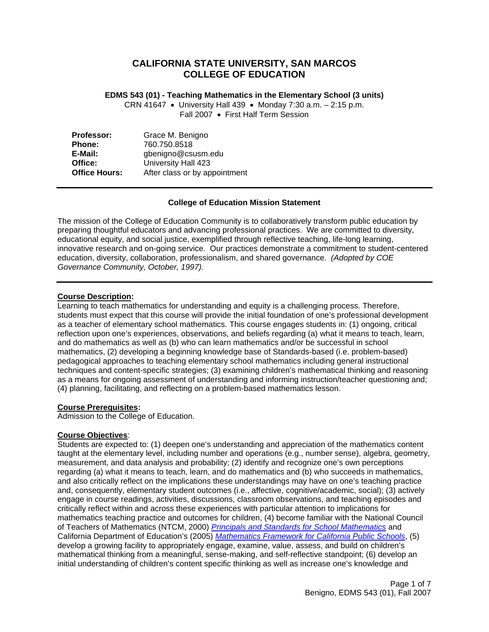## **CALIFORNIA STATE UNIVERSITY, SAN MARCOS COLLEGE OF EDUCATION**

**EDMS 543 (01) - Teaching Mathematics in the Elementary School (3 units)** 

CRN 41647 • University Hall 439 • Monday 7:30 a.m. – 2:15 p.m. Fall 2007 • First Half Term Session

| Professor:           | Grace M. Benigno              |  |  |
|----------------------|-------------------------------|--|--|
| <b>Phone:</b>        | 760.750.8518                  |  |  |
| E-Mail:              | gbenigno@csusm.edu            |  |  |
| Office:              | University Hall 423           |  |  |
| <b>Office Hours:</b> | After class or by appointment |  |  |

## **College of Education Mission Statement**

The mission of the College of Education Community is to collaboratively transform public education by preparing thoughtful educators and advancing professional practices. We are committed to diversity, educational equity, and social justice, exemplified through reflective teaching, life-long learning, innovative research and on-going service. Our practices demonstrate a commitment to student-centered education, diversity, collaboration, professionalism, and shared governance. *(Adopted by COE Governance Community, October, 1997).* 

## **Course Description:**

Learning to teach mathematics for understanding and equity is a challenging process. Therefore, students must expect that this course will provide the initial foundation of one's professional development as a teacher of elementary school mathematics. This course engages students in: (1) ongoing, critical reflection upon one's experiences, observations, and beliefs regarding (a) what it means to teach, learn, and do mathematics as well as (b) who can learn mathematics and/or be successful in school mathematics, (2) developing a beginning knowledge base of Standards-based (i.e. problem-based) pedagogical approaches to teaching elementary school mathematics including general instructional techniques and content-specific strategies; (3) examining children's mathematical thinking and reasoning as a means for ongoing assessment of understanding and informing instruction/teacher questioning and; (4) planning, facilitating, and reflecting on a problem-based mathematics lesson.

## **Course Prerequisites:**

Admission to the College of Education.

## **Course Objectives**:

Students are expected to: (1) deepen one's understanding and appreciation of the mathematics content taught at the elementary level, including number and operations (e.g., number sense), algebra, geometry, measurement, and data analysis and probability; (2) identify and recognize one's own perceptions regarding (a) what it means to teach, learn, and do mathematics and (b) who succeeds in mathematics, and also critically reflect on the implications these understandings may have on one's teaching practice and, consequently, elementary student outcomes (i.e., affective, cognitive/academic, social); (3) actively engage in course readings, activities, discussions, classroom observations, and teaching episodes and critically reflect within and across these experiences with particular attention to implications for mathematics teaching practice and outcomes for children, (4) become familiar with the National Council of Teachers of Mathematics (NTCM, 2000) *Principals and Standards for School Mathematics* and California Department of Education's (2005) *Mathematics Framework for California Public Schools*, (5) develop a growing facility to appropriately engage, examine, value, assess, and build on children's mathematical thinking from a meaningful, sense-making, and self-reflective standpoint; (6) develop an initial understanding of children's content specific thinking as well as increase one's knowledge and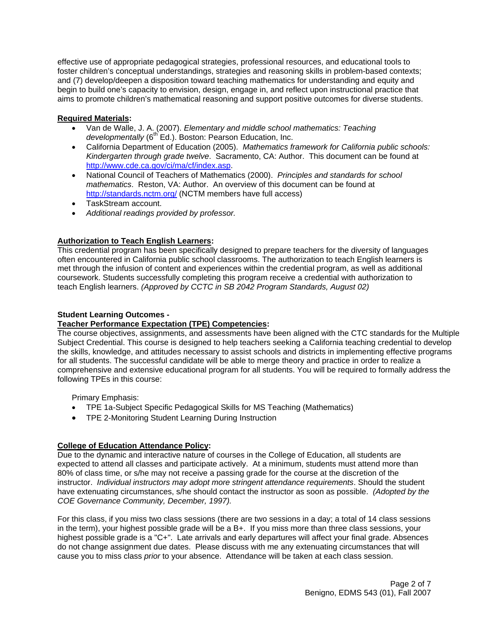effective use of appropriate pedagogical strategies, professional resources, and educational tools to foster children's conceptual understandings, strategies and reasoning skills in problem-based contexts; and (7) develop/deepen a disposition toward teaching mathematics for understanding and equity and begin to build one's capacity to envision, design, engage in, and reflect upon instructional practice that aims to promote children's mathematical reasoning and support positive outcomes for diverse students.

## **Required Materials:**

- Van de Walle, J. A. (2007). *Elementary and middle school mathematics: Teaching developmentally* (6<sup>th</sup> Ed.). Boston: Pearson Education, Inc.
- California Department of Education (2005). *Mathematics framework for California public schools: Kindergarten through grade twelve*. Sacramento, CA: Author. This document can be found at http://www.cde.ca.gov/ci/ma/cf/index.asp.
- National Council of Teachers of Mathematics (2000). *Principles and standards for school mathematics*. Reston, VA: Author. An overview of this document can be found at http://standards.nctm.org/ (NCTM members have full access)
- TaskStream account.
- *Additional readings provided by professor.*

## **Authorization to Teach English Learners:**

This credential program has been specifically designed to prepare teachers for the diversity of languages often encountered in California public school classrooms. The authorization to teach English learners is met through the infusion of content and experiences within the credential program, as well as additional coursework. Students successfully completing this program receive a credential with authorization to teach English learners. *(Approved by CCTC in SB 2042 Program Standards, August 02)*

## **Student Learning Outcomes -**

## **Teacher Performance Expectation (TPE) Competencies:**

The course objectives, assignments, and assessments have been aligned with the CTC standards for the Multiple Subject Credential. This course is designed to help teachers seeking a California teaching credential to develop the skills, knowledge, and attitudes necessary to assist schools and districts in implementing effective programs for all students. The successful candidate will be able to merge theory and practice in order to realize a comprehensive and extensive educational program for all students. You will be required to formally address the following TPEs in this course:

Primary Emphasis:

- TPE 1a-Subject Specific Pedagogical Skills for MS Teaching (Mathematics)
- TPE 2-Monitoring Student Learning During Instruction

## **College of Education Attendance Policy:**

Due to the dynamic and interactive nature of courses in the College of Education, all students are expected to attend all classes and participate actively. At a minimum, students must attend more than 80% of class time, or s/he may not receive a passing grade for the course at the discretion of the instructor. *Individual instructors may adopt more stringent attendance requirements*. Should the student have extenuating circumstances, s/he should contact the instructor as soon as possible. *(Adopted by the COE Governance Community, December, 1997).*

For this class, if you miss two class sessions (there are two sessions in a day; a total of 14 class sessions in the term), your highest possible grade will be a B+. If you miss more than three class sessions, your highest possible grade is a "C+". Late arrivals and early departures will affect your final grade. Absences do not change assignment due dates. Please discuss with me any extenuating circumstances that will cause you to miss class *prior* to your absence. Attendance will be taken at each class session.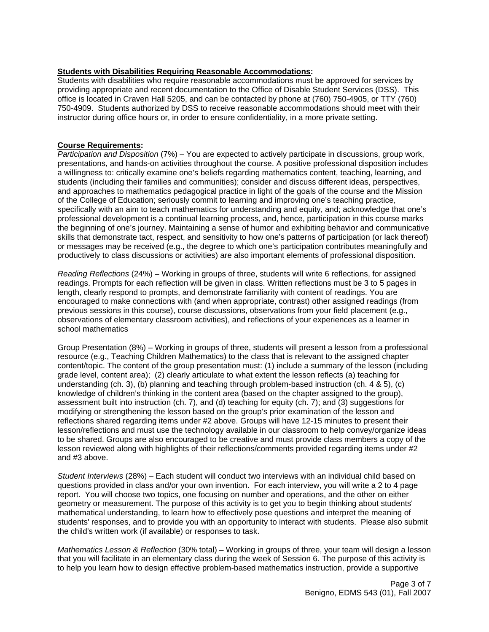#### **Students with Disabilities Requiring Reasonable Accommodations:**

Students with disabilities who require reasonable accommodations must be approved for services by providing appropriate and recent documentation to the Office of Disable Student Services (DSS). This office is located in Craven Hall 5205, and can be contacted by phone at (760) 750-4905, or TTY (760) 750-4909. Students authorized by DSS to receive reasonable accommodations should meet with their instructor during office hours or, in order to ensure confidentiality, in a more private setting.

#### **Course Requirements:**

*Participation and Disposition* (7%) – You are expected to actively participate in discussions, group work, presentations, and hands-on activities throughout the course. A positive professional disposition includes a willingness to: critically examine one's beliefs regarding mathematics content, teaching, learning, and students (including their families and communities); consider and discuss different ideas, perspectives, and approaches to mathematics pedagogical practice in light of the goals of the course and the Mission of the College of Education; seriously commit to learning and improving one's teaching practice, specifically with an aim to teach mathematics for understanding and equity, and; acknowledge that one's professional development is a continual learning process, and, hence, participation in this course marks the beginning of one's journey. Maintaining a sense of humor and exhibiting behavior and communicative skills that demonstrate tact, respect, and sensitivity to how one's patterns of participation (or lack thereof) or messages may be received (e.g., the degree to which one's participation contributes meaningfully and productively to class discussions or activities) are also important elements of professional disposition.

*Reading Reflections* (24%) – Working in groups of three, students will write 6 reflections, for assigned readings. Prompts for each reflection will be given in class. Written reflections must be 3 to 5 pages in length, clearly respond to prompts, and demonstrate familiarity with content of readings. You are encouraged to make connections with (and when appropriate, contrast) other assigned readings (from previous sessions in this course), course discussions, observations from your field placement (e.g., observations of elementary classroom activities), and reflections of your experiences as a learner in school mathematics

Group Presentation (8%) – Working in groups of three, students will present a lesson from a professional resource (e.g., Teaching Children Mathematics) to the class that is relevant to the assigned chapter content/topic. The content of the group presentation must: (1) include a summary of the lesson (including grade level, content area); (2) clearly articulate to what extent the lesson reflects (a) teaching for understanding (ch. 3), (b) planning and teaching through problem-based instruction (ch. 4 & 5), (c) knowledge of children's thinking in the content area (based on the chapter assigned to the group), assessment built into instruction (ch. 7), and (d) teaching for equity (ch. 7); and (3) suggestions for modifying or strengthening the lesson based on the group's prior examination of the lesson and reflections shared regarding items under #2 above. Groups will have 12-15 minutes to present their lesson/reflections and must use the technology available in our classroom to help convey/organize ideas to be shared. Groups are also encouraged to be creative and must provide class members a copy of the lesson reviewed along with highlights of their reflections/comments provided regarding items under #2 and #3 above.

*Student Interviews* (28%) – Each student will conduct two interviews with an individual child based on questions provided in class and/or your own invention. For each interview, you will write a 2 to 4 page report. You will choose two topics, one focusing on number and operations, and the other on either geometry or measurement. The purpose of this activity is to get you to begin thinking about students' mathematical understanding, to learn how to effectively pose questions and interpret the meaning of students' responses, and to provide you with an opportunity to interact with students. Please also submit the child's written work (if available) or responses to task.

*Mathematics Lesson & Reflection* (30% total) – Working in groups of three, your team will design a lesson that you will facilitate in an elementary class during the week of Session 6. The purpose of this activity is to help you learn how to design effective problem-based mathematics instruction, provide a supportive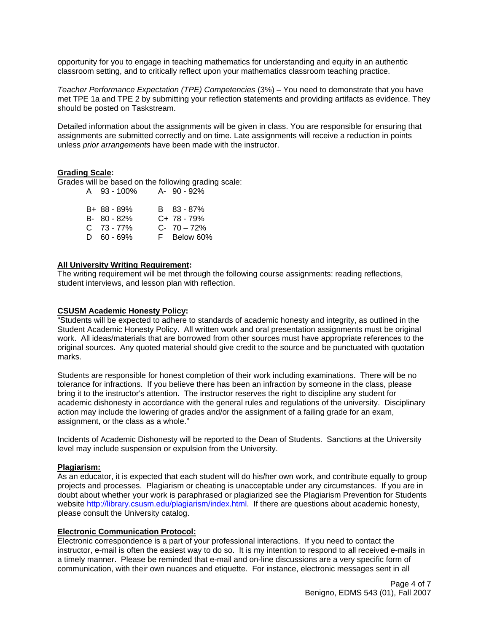opportunity for you to engage in teaching mathematics for understanding and equity in an authentic classroom setting, and to critically reflect upon your mathematics classroom teaching practice.

*Teacher Performance Expectation (TPE) Competencies* (3%) – You need to demonstrate that you have met TPE 1a and TPE 2 by submitting your reflection statements and providing artifacts as evidence. They should be posted on Taskstream.

Detailed information about the assignments will be given in class. You are responsible for ensuring that assignments are submitted correctly and on time. Late assignments will receive a reduction in points unless *prior arrangements* have been made with the instructor.

#### **Grading Scale:**

Grades will be based on the following grading scale: A 93 - 100% A- 90 - 92%

| B+ 88 - 89% | B 83 - 87%     |
|-------------|----------------|
| B- 80 - 82% | $C+ 78 - 79%$  |
| C 73 - 77%  | $C - 70 - 72%$ |
| D 60-69%    | F Below 60%    |

#### **All University Writing Requirement:**

The writing requirement will be met through the following course assignments: reading reflections, student interviews, and lesson plan with reflection.

#### **CSUSM Academic Honesty Policy:**

"Students will be expected to adhere to standards of academic honesty and integrity, as outlined in the Student Academic Honesty Policy. All written work and oral presentation assignments must be original work. All ideas/materials that are borrowed from other sources must have appropriate references to the original sources. Any quoted material should give credit to the source and be punctuated with quotation marks.

Students are responsible for honest completion of their work including examinations. There will be no tolerance for infractions. If you believe there has been an infraction by someone in the class, please bring it to the instructor's attention. The instructor reserves the right to discipline any student for academic dishonesty in accordance with the general rules and regulations of the university. Disciplinary action may include the lowering of grades and/or the assignment of a failing grade for an exam, assignment, or the class as a whole."

Incidents of Academic Dishonesty will be reported to the Dean of Students. Sanctions at the University level may include suspension or expulsion from the University.

#### **Plagiarism:**

As an educator, it is expected that each student will do his/her own work, and contribute equally to group projects and processes. Plagiarism or cheating is unacceptable under any circumstances. If you are in doubt about whether your work is paraphrased or plagiarized see the Plagiarism Prevention for Students website http://library.csusm.edu/plagiarism/index.html. If there are questions about academic honesty, please consult the University catalog.

#### **Electronic Communication Protocol:**

Electronic correspondence is a part of your professional interactions. If you need to contact the instructor, e-mail is often the easiest way to do so. It is my intention to respond to all received e-mails in a timely manner. Please be reminded that e-mail and on-line discussions are a very specific form of communication, with their own nuances and etiquette. For instance, electronic messages sent in all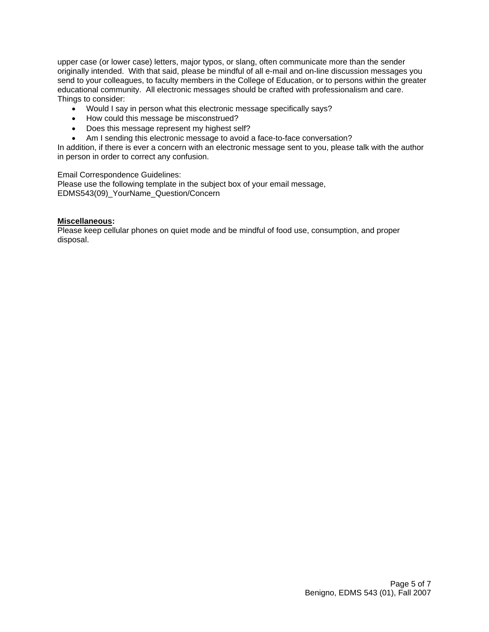upper case (or lower case) letters, major typos, or slang, often communicate more than the sender originally intended. With that said, please be mindful of all e-mail and on-line discussion messages you send to your colleagues, to faculty members in the College of Education, or to persons within the greater educational community. All electronic messages should be crafted with professionalism and care. Things to consider:

- Would I say in person what this electronic message specifically says?
- How could this message be misconstrued?
- Does this message represent my highest self?
- Am I sending this electronic message to avoid a face-to-face conversation?

In addition, if there is ever a concern with an electronic message sent to you, please talk with the author in person in order to correct any confusion.

Email Correspondence Guidelines:

Please use the following template in the subject box of your email message, EDMS543(09)\_YourName\_Question/Concern

#### **Miscellaneous:**

Please keep cellular phones on quiet mode and be mindful of food use, consumption, and proper disposal.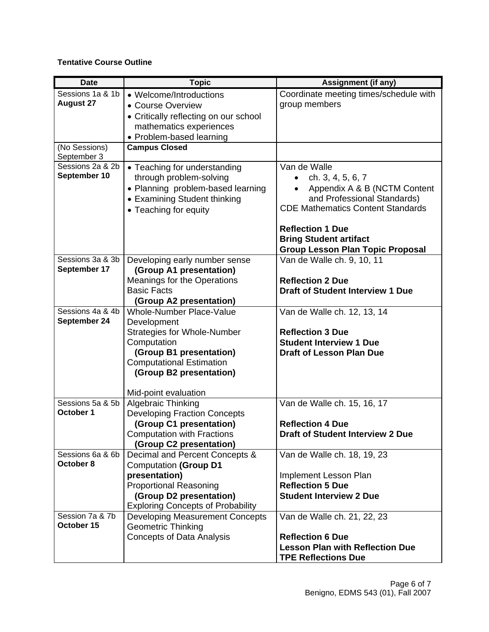## **Tentative Course Outline**

| <b>Date</b>                          | <b>Topic</b>                                                                                                                                                                                                  | <b>Assignment (if any)</b>                                                                                                                                              |
|--------------------------------------|---------------------------------------------------------------------------------------------------------------------------------------------------------------------------------------------------------------|-------------------------------------------------------------------------------------------------------------------------------------------------------------------------|
| Sessions 1a & 1b<br><b>August 27</b> | • Welcome/Introductions<br>• Course Overview<br>• Critically reflecting on our school<br>mathematics experiences<br>• Problem-based learning                                                                  | Coordinate meeting times/schedule with<br>group members                                                                                                                 |
| (No Sessions)<br>September 3         | <b>Campus Closed</b>                                                                                                                                                                                          |                                                                                                                                                                         |
| Sessions 2a & 2b<br>September 10     | • Teaching for understanding<br>through problem-solving<br>• Planning problem-based learning<br>• Examining Student thinking<br>• Teaching for equity                                                         | Van de Walle<br>ch. 3, 4, 5, 6, 7<br>Appendix A & B (NCTM Content<br>and Professional Standards)<br><b>CDE Mathematics Content Standards</b><br><b>Reflection 1 Due</b> |
|                                      |                                                                                                                                                                                                               | <b>Bring Student artifact</b><br><b>Group Lesson Plan Topic Proposal</b>                                                                                                |
| Sessions 3a & 3b<br>September 17     | Developing early number sense<br>(Group A1 presentation)<br><b>Meanings for the Operations</b><br><b>Basic Facts</b><br>(Group A2 presentation)                                                               | Van de Walle ch. 9, 10, 11<br><b>Reflection 2 Due</b><br><b>Draft of Student Interview 1 Due</b>                                                                        |
| Sessions 4a & 4b<br>September 24     | Whole-Number Place-Value<br>Development<br><b>Strategies for Whole-Number</b><br>Computation<br>(Group B1 presentation)<br><b>Computational Estimation</b><br>(Group B2 presentation)<br>Mid-point evaluation | Van de Walle ch. 12, 13, 14<br><b>Reflection 3 Due</b><br><b>Student Interview 1 Due</b><br><b>Draft of Lesson Plan Due</b>                                             |
| Sessions 5a & 5b<br>October 1        | <b>Algebraic Thinking</b><br><b>Developing Fraction Concepts</b><br>(Group C1 presentation)<br><b>Computation with Fractions</b><br>(Group C2 presentation)                                                   | Van de Walle ch. 15, 16, 17<br><b>Reflection 4 Due</b><br><b>Draft of Student Interview 2 Due</b>                                                                       |
| Sessions 6a & 6b<br>October 8        | Decimal and Percent Concepts &<br><b>Computation (Group D1</b><br>presentation)<br><b>Proportional Reasoning</b><br>(Group D2 presentation)<br><b>Exploring Concepts of Probability</b>                       | Van de Walle ch. 18, 19, 23<br>Implement Lesson Plan<br><b>Reflection 5 Due</b><br><b>Student Interview 2 Due</b>                                                       |
| Session 7a & 7b<br>October 15        | <b>Developing Measurement Concepts</b><br><b>Geometric Thinking</b><br><b>Concepts of Data Analysis</b>                                                                                                       | Van de Walle ch. 21, 22, 23<br><b>Reflection 6 Due</b><br><b>Lesson Plan with Reflection Due</b><br><b>TPE Reflections Due</b>                                          |